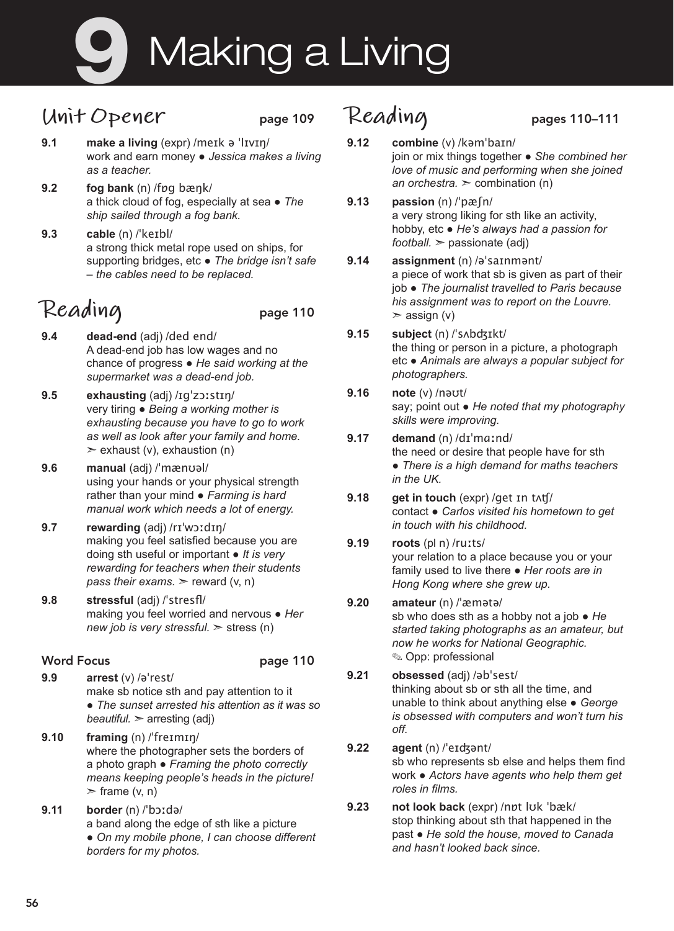# Making a Living

### **Unit Opener** page 109

- **9.1 make a living** (expr) /meɪk ə ˈlɪvɪŋ/ work and earn money ● *Jessica makes a living as a teacher.*
- **9.2 fog bank** (n) /fɒɡ bæŋk/ a thick cloud of fog, especially at sea ● *The ship sailed through a fog bank.*
- **9.3 cable** (n) /ˈkeɪbl/ a strong thick metal rope used on ships, for supporting bridges, etc ● *The bridge isn't safe – the cables need to be replaced.*

## Reading page 110

- **9.4 dead-end** (adj) /ded end/ A dead-end job has low wages and no chance of progress ● *He said working at the supermarket was a dead-end job.*
- **9.5 exhausting** (adj) /ɪgˈzɔːstɪŋ/ very tiring ● *Being a working mother is exhausting because you have to go to work as well as look after your family and home.*   $\ge$  exhaust (v), exhaustion (n)
- **9.6 manual** (adj) /ˈmænʊəl/ using your hands or your physical strength rather than your mind ● *Farming is hard manual work which needs a lot of energy.*
- **9.7 rewarding** (adj) /rɪˈwɔːdɪŋ/ making you feel satisfied because you are doing sth useful or important ● *It is very rewarding for teachers when their students pass their exams.*  $\ge$  reward (v, n)
- **9.8 stressful** (adj) /ˈstresfl/ making you feel worried and nervous ● *Her new job is very stressful.* ➣ stress (n)

#### Word Focus **page 110**

**9.9 arrest** (v) /əˈrest/ make sb notice sth and pay attention to it ● *The sunset arrested his attention as it was so beautiful.* ➣ arresting (adj)

- **9.10 framing** (n) /ˈfreɪmɪŋ/ where the photographer sets the borders of a photo graph ● *Framing the photo correctly means keeping people's heads in the picture!*   $\triangleright$  frame (v, n)
- **9.11 border** (n) /ˈbɔːdə/ a band along the edge of sth like a picture ● *On my mobile phone, I can choose different borders for my photos.*

### **Reading** pages 110–111

- **9.12 combine** (v) /kəmˈbaɪn/ join or mix things together ● *She combined her love of music and performing when she joined an orchestra.* ➣ combination (n)
- **9.13 passion** (n) /ˈpæʃn/ a very strong liking for sth like an activity, hobby, etc ● *He's always had a passion for football.* ➣ passionate (adj)
- **9.14 assignment** (n) /əˈsaɪnmənt/ a piece of work that sb is given as part of their job ● *The journalist travelled to Paris because his assignment was to report on the Louvre.*   $>$  assign (v)
- **9.15 subject** (n) /ˈsʌbʤɪkt/ the thing or person in a picture, a photograph etc ● *Animals are always a popular subject for photographers.*
- **9.16 note** (v) /nəʊt/ say; point out ● *He noted that my photography skills were improving.*
- **9.17 demand** (n) /dɪˈmɑːnd/ the need or desire that people have for sth ● *There is a high demand for maths teachers in the UK.*
- **9.18 get in touch** (expr) /get ɪn tʌʧ/ contact ● *Carlos visited his hometown to get in touch with his childhood.*

#### **9.19 roots** (pl n) /ruːts/ your relation to a place because you or your family used to live there ● *Her roots are in Hong Kong where she grew up.*

#### **9.20 amateur** (n) /ˈæmətə/ sb who does sth as a hobby not a job ● *He started taking photographs as an amateur, but now he works for National Geographic.*  ✎ Opp: professional

#### **9.21 obsessed** (adj) /əbˈsest/ thinking about sb or sth all the time, and unable to think about anything else ● *George is obsessed with computers and won't turn his off.*

- **9.22 agent** (n) /ˈeɪʤənt/ sb who represents sb else and helps them find work ● *Actors have agents who help them get roles in films.*
- **9.23 not look back** (expr) /nɒt lʊk ˈbæk/ stop thinking about sth that happened in the past ● *He sold the house, moved to Canada and hasn't looked back since.*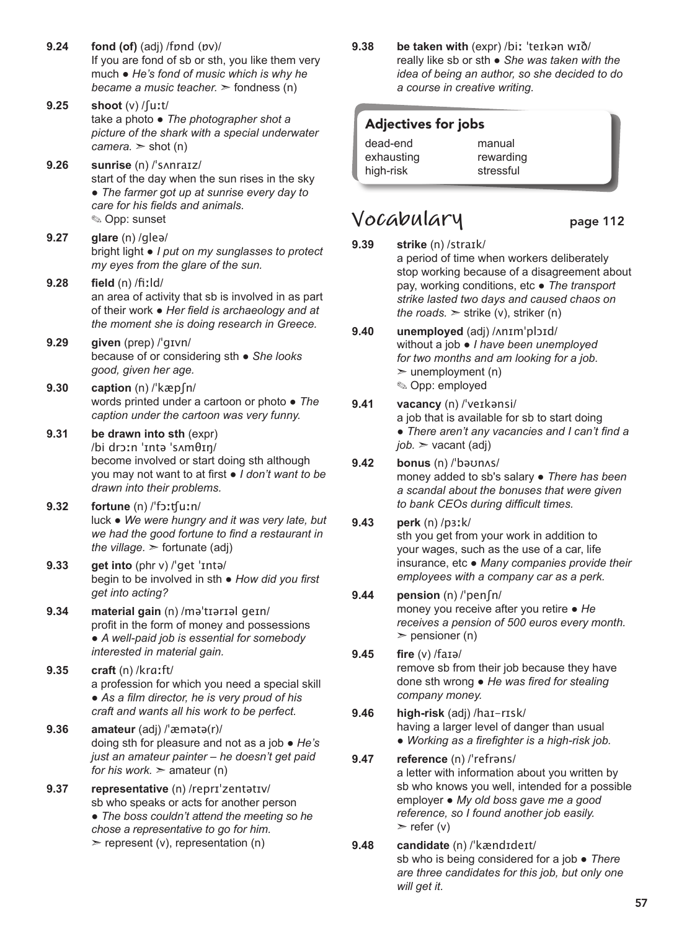- **9.24 fond (of)** (adj) /fɒnd (ɒv)/ If you are fond of sb or sth, you like them very much ● *He's fond of music which is why he became a music teacher.*  $\geq$  fondness (n)
- **9.25 shoot** (v) /ʃuːt/ take a photo ● *The photographer shot a picture of the shark with a special underwater*   $camera.$   $\ge$  shot (n)
- **9.26 sunrise** (n) /ˈsʌnraɪz/ start of the day when the sun rises in the sky ● *The farmer got up at sunrise every day to care for his fields and animals.* ✎ Opp: sunset
- **9.27 glare** (n) /gleə/ bright light ● *I put on my sunglasses to protect my eyes from the glare of the sun.*
- **9.28 field** (n) /fiːld/ an area of activity that sb is involved in as part of their work ● *Her field is archaeology and at the moment she is doing research in Greece.*
- **9.29 given** (prep) /ˈɡɪvn/ because of or considering sth ● *She looks good, given her age.*
- **9.30 caption** (n) /ˈkæpʃn/ words printed under a cartoon or photo ● *The caption under the cartoon was very funny.*
- **9.31 be drawn into sth** (expr) /bi drɔːn ˈɪntə ˈsʌmθɪŋ/ become involved or start doing sth although you may not want to at first ● *Ι don't want to be drawn into their problems.*
- **9.32 fortune** (n) /ˈfɔːʧuːn/ luck ● *We were hungry and it was very late, but we had the good fortune to find a restaurant in the village.*  $>$  fortunate (adj)
- **9.33 get into** (phr v) /ˈɡet ˈɪntə/ begin to be involved in sth ● *How did you first get into acting?*
- **9.34 material gain** (n) /məˈtɪərɪəl geɪn/ profit in the form of money and possessions ● *A well-paid job is essential for somebody interested in material gain.*
- **9.35 craft** (n) /krɑːft/ a profession for which you need a special skill ● *As a film director, he is very proud of his craft and wants all his work to be perfect.*
- **9.36 amateur** (adj) /ˈæmətə(r)/ doing sth for pleasure and not as a job ● *He's just an amateur painter – he doesn't get paid for his work.*  $\geq$  amateur (n)
- **9.37 representative** (n) /reprɪˈzentətɪv/ sb who speaks or acts for another person ● *The boss couldn't attend the meeting so he chose a representative to go for him.*   $\triangleright$  represent (v), representation (n)

**9.38 be taken with** (expr) /biː ˈteɪkən wɪð/ really like sb or sth ● *She was taken with the idea of being an author, so she decided to do a course in creative writing.*

#### Adjectives for jobs

dead-end exhausting high-risk manual rewarding stressful

### **Vocabulary** page 112

- 
- **9.39 strike** (n) /straɪk/ a period of time when workers deliberately stop working because of a disagreement about pay, working conditions, etc ● *The transport strike lasted two days and caused chaos on the roads.*  $\ge$  strike (v), striker (n)
- **9.40 unemployed** (adj) /ʌnɪmˈplɔɪd/ without a job ● *I have been unemployed for two months and am looking for a job.*   $\geq$  unemployment (n) ✎ Opp: employed
- **9.41 vacancy** (n) /ˈveɪkənsi/ a job that is available for sb to start doing ● *There aren't any vacancies and I can't find a job.* ➣ vacant (adj)
- **9.42 bonus** (n) /ˈbəʊnʌs/ money added to sb's salary ● *There has been a scandal about the bonuses that were given to bank CEOs during difficult times.*

#### **9.43 perk** (n) /pɜːk/ sth you get from your work in addition to your wages, such as the use of a car, life insurance, etc ● *Many companies provide their employees with a company car as a perk.*

- **9.44 pension** (n) /ˈpenʃn/ money you receive after you retire ● *He receives a pension of 500 euros every month.*   $\geq$  pensioner (n)
- **9.45 fire** (v) /faɪə/ remove sb from their job because they have done sth wrong ● *He was fired for stealing company money.*
- **9.46 high-risk** (adj) /haɪ-rɪsk/ having a larger level of danger than usual ● *Working as a firefighter is a high-risk job.*
- **9.47 reference** (n) /ˈrefrəns/ a letter with information about you written by sb who knows you well, intended for a possible employer ● *My old boss gave me a good reference, so I found another job easily.*   $\ge$  refer (v)
- **9.48 candidate** (n) /ˈkændɪdeɪt/ sb who is being considered for a job ● *There are three candidates for this job, but only one will get it.*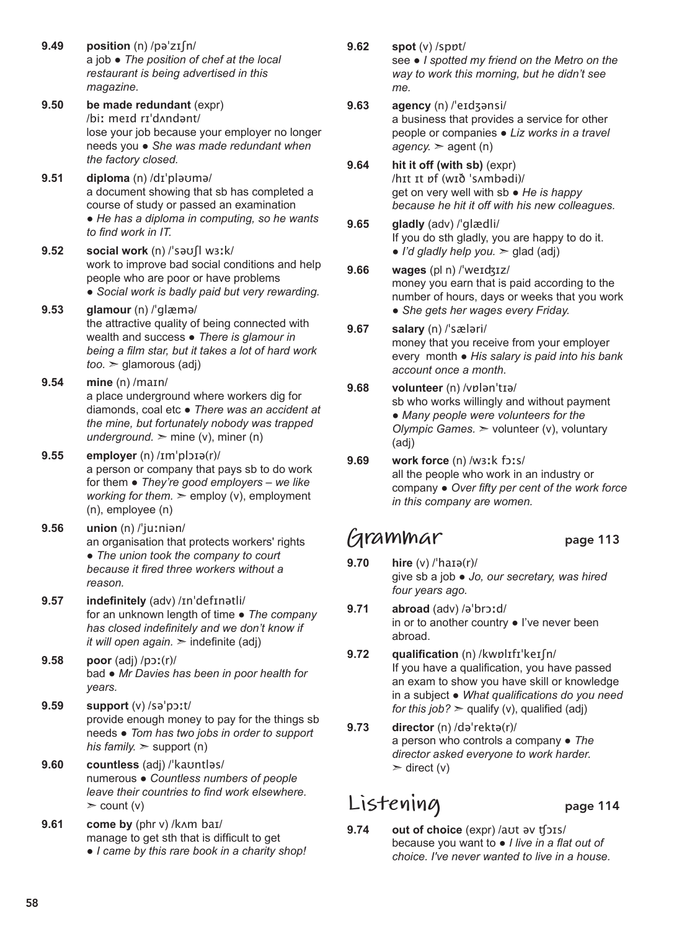- **9.49 position** (n) /pəˈzɪʃn/ a job ● *The position of chef at the local restaurant is being advertised in this magazine.*
- **9.50 be made redundant** (expr) /biː meɪd rɪˈdʌndənt/ lose your job because your employer no longer needs you ● *She was made redundant when the factory closed.*
- **9.51 diploma** (n) /dɪˈpləʊmə/ a document showing that sb has completed a course of study or passed an examination ● *He has a diploma in computing, so he wants to find work in IT.*
- **9.52 social work** (n) /ˈsəʊʃl wɜːk/ work to improve bad social conditions and help people who are poor or have problems ● *Social work is badly paid but very rewarding.*
- **9.53 glamour** (n) /ˈglæmə/ the attractive quality of being connected with wealth and success ● *There is glamour in being a film star, but it takes a lot of hard work too.* ➣ glamorous (adj)
- **9.54 mine** (n) /maɪn/ a place underground where workers dig for diamonds, coal etc ● *There was an accident at the mine, but fortunately nobody was trapped underground.*  $\geq$  mine (v), miner (n)
- **9.55 employer** (n) /ɪmˈplɔɪə(r)/ a person or company that pays sb to do work for them ● *They're good employers – we like working for them.*  $\geq$  employ (v), employment (n), employee (n)
- **9.56 union** (n) /ˈjuːniən/ an organisation that protects workers' rights ● *The union took the company to court because it fired three workers without a reason.*
- **9.57 indefinitely** (adv) /ɪnˈdefɪnətli/ for an unknown length of time ● *The company has closed indefinitely and we don't know if it will open again.*  $\geq$  indefinite (adj)
- **9.58 poor** (adj) /pɔː(r)/ bad ● *Mr Davies has been in poor health for years.*
- **9.59 support** (v) /səˈpɔːt/ provide enough money to pay for the things sb needs ● *Tom has two jobs in order to support his family.*  $>$  support (n)
- **9.60 countless** (adj) /ˈkaʊntləs/ numerous ● *Countless numbers of people leave their countries to find work elsewhere.*   $\ge$  count (v)
- **9.61 come by** (phr v) /kʌm baɪ/ manage to get sth that is difficult to get ● *I came by this rare book in a charity shop!*

**9.62 spot** (v) /spɒt/

see ● *I spotted my friend on the Metro on the way to work this morning, but he didn't see me.*

- **9.63 agency** (n) /ˈeɪdʒənsi/ a business that provides a service for other people or companies ● *Liz works in a travel*
- $a$ *gency.*  $\ge$  agent (n) **9.64 hit it off (with sb)** (expr) /hɪt ɪt ɒf (wɪð ˈsʌmbədi)/ get on very well with sb ● *He is happy because he hit it off with his new colleagues.*
- **9.65 gladly** (adv) /ˈɡlædli/ If you do sth gladly, you are happy to do it.  $\bullet$  *I'd gladly help you.*  $\ge$  glad (adj)
- **9.66 wages** (pl n) /ˈweɪʤɪz/ money you earn that is paid according to the number of hours, days or weeks that you work ● *She gets her wages every Friday.*
- **9.67 salary** (n) /ˈsæləri/ money that you receive from your employer every month ● *His salary is paid into his bank account once a month.*
- **9.68 volunteer** (n) /vɒlənˈtɪə/ sb who works willingly and without payment ● *Many people were volunteers for the Olympic Games.* ➣ volunteer (v), voluntary (adj)
- **9.69 work force** (n) /wɜːk fɔːs/ all the people who work in an industry or company ● *Over fifty per cent of the work force in this company are women.*

### **Grammar** page 113

- **9.70 hire** (v) /ˈhaɪə(r)/ give sb a job ● *Jo, our secretary, was hired four years ago.*
- **9.71 abroad** (adv) /əˈbrɔːd/ in or to another country ● I've never been abroad.
- **9.72 qualification** (n) /kwɒlɪfɪˈkeɪʃn/ If you have a qualification, you have passed an exam to show you have skill or knowledge in a subject ● *What qualifications do you need for this job?*  $\geq$  qualify (v), qualified (adj)
- **9.73 director** (n) /dəˈrektə(r)/ a person who controls a company ● *The director asked everyone to work harder.*  $\ge$  direct (v)

### **Listening** page 114

**9.74 out of choice** (expr) /aʊt əv ʧɔɪs/ because you want to ● *I live in a flat out of choice. I've never wanted to live in a house.*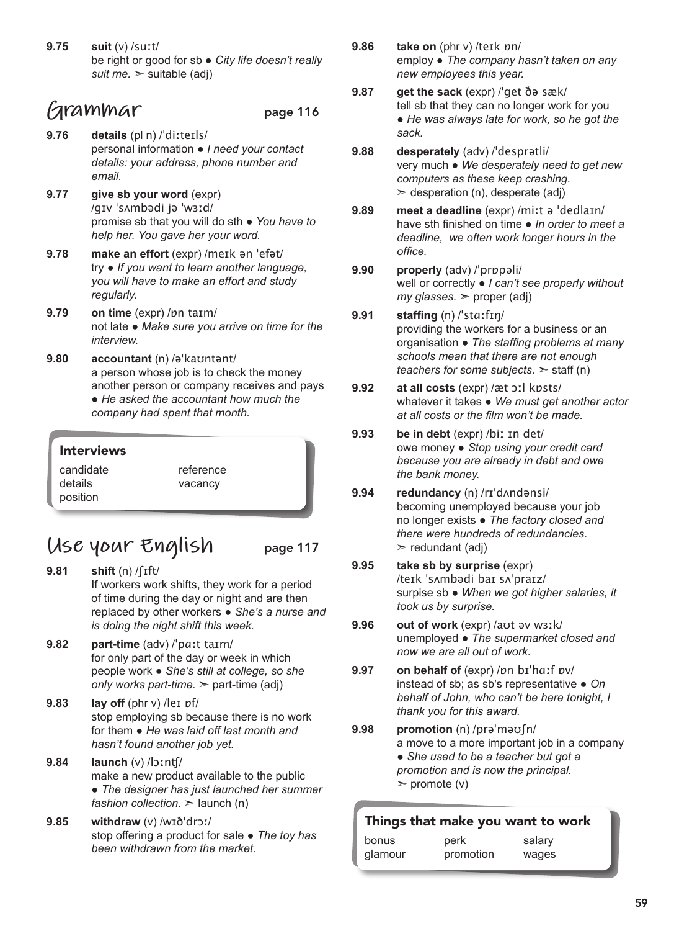**9.75 suit** (v) /suːt/ be right or good for sb ● *City life doesn't really suit me.* ➣ suitable (adj)

### **Grammar** page 116

- **9.76 details** (pl n) /ˈdiːteɪls/ personal information ● *I need your contact details: your address, phone number and email.*
- **9.77 give sb your word** (expr) /ɡɪv ˈsʌmbədi jə ˈwɜːd/ promise sb that you will do sth ● *You have to help her. You gave her your word.*
- **9.78 make an effort** (expr) /meɪk ən ˈefət/ try ● *If you want to learn another language, you will have to make an effort and study regularly.*
- **9.79 on time** (expr) /ɒn taɪm/ not late ● *Make sure you arrive on time for the interview.*
- **9.80 accountant** (n) /əˈkaʊntənt/ a person whose job is to check the money another person or company receives and pays ● *He asked the accountant how much the company had spent that month.*

| <b>Interviews</b> |           |
|-------------------|-----------|
| candidate         | reference |
| details           | vacancy   |
| position          |           |

### **Use your English** page 117

- **9.81 shift** (n) /ʃɪft/ If workers work shifts, they work for a period of time during the day or night and are then replaced by other workers ● *She's a nurse and is doing the night shift this week.*
- **9.82 part-time** (adv) /ˈpɑːt taɪm/ for only part of the day or week in which people work ● *She's still at college, so she only works part-time.* ➣ part-time (adj)
- **9.83 lay off** (phr v) /leɪ ɒf/ stop employing sb because there is no work for them ● *He was laid off last month and hasn't found another job yet.*
- **9.84 launch** (v) /lɔːnʧ/ make a new product available to the public ● *The designer has just launched her summer fashion collection.* ➣ launch (n)
- **9.85 withdraw** (v) /wɪðˈdrɔː/ stop offering a product for sale ● *The toy has been withdrawn from the market.*
- **9.86 take on** (phr v) /teɪk ɒn/ employ ● *The company hasn't taken on any new employees this year.*
- **9.87 get the sack** (expr) /ˈɡet ðə sæk/ tell sb that they can no longer work for you ● *He was always late for work, so he got the sack.*
- **9.88 desperately** (adv) /ˈdesprətli/ very much ● *We desperately need to get new computers as these keep crashing.*   $\geq$  desperation (n), desperate (adj)
- **9.89 meet a deadline** (expr) /miːt ə ˈdedlaɪn/ have sth finished on time ● *In order to meet a deadline, we often work longer hours in the office.*
- **9.90 properly** (adv) /ˈprɒpəli/ well or correctly ● *I can't see properly without*   $my$  *glasses.*  $\ge$  proper (adj)
- **9.91 staffing** (n) /ˈstɑːfɪŋ/ providing the workers for a business or an organisation ● *The staffing problems at many schools mean that there are not enough teachers for some subjects.* ➣ staff (n)
- **9.92 at all costs** (expr) /æt ɔːl kɒsts/ whatever it takes ● *We must get another actor at all costs or the film won't be made.*
- **9.93 be in debt** (expr) /biː ɪn det/ owe money ● *Stop using your credit card because you are already in debt and owe the bank money.*
- **9.94 redundancy** (n) /rɪˈdʌndənsi/ becoming unemployed because your job no longer exists ● *The factory closed and there were hundreds of redundancies.*   $\ge$  redundant (adj)
- **9.95 take sb by surprise** (expr) /teɪk ˈsʌmbədi baɪ sʌˈpraɪz/ surpise sb ● *When we got higher salaries, it took us by surprise.*
- **9.96 out of work** (expr) /aʊt əv wɜːk/ unemployed ● *The supermarket closed and now we are all out of work.*
- **9.97 on behalf of** (expr) /ɒn bɪˈhɑːf ɒv/ instead of sb; as sb's representative ● *On behalf of John, who can't be here tonight, I thank you for this award.*
- **9.98 promotion** (n) /prəˈməʊʃn/ a move to a more important job in a company ● *She used to be a teacher but got a promotion and is now the principal.*   $\ge$  promote (v)

| Things that make you want to work |                   |        |  |
|-----------------------------------|-------------------|--------|--|
| bonus<br>glamour                  | perk<br>promotion | salary |  |
|                                   |                   | wages  |  |